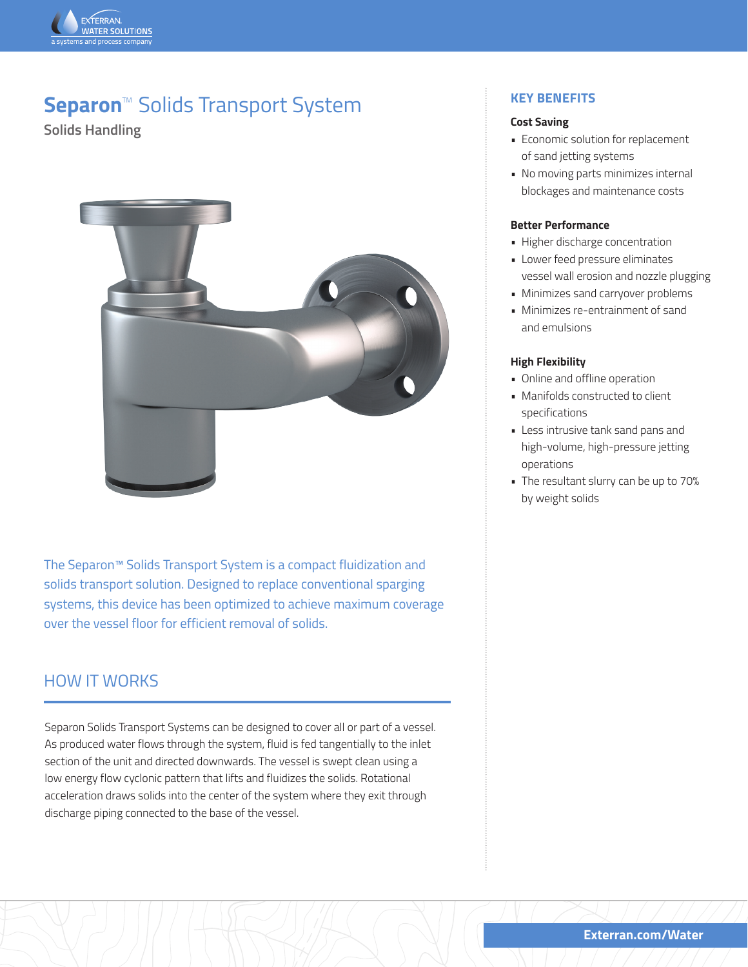

# **Separon**<sup>™</sup> Solids Transport System

**Solids Handling**



The Separon™ Solids Transport System is a compact fluidization and solids transport solution. Designed to replace conventional sparging systems, this device has been optimized to achieve maximum coverage over the vessel floor for efficient removal of solids.

## HOW IT WORKS

Separon Solids Transport Systems can be designed to cover all or part of a vessel. As produced water flows through the system, fluid is fed tangentially to the inlet section of the unit and directed downwards. The vessel is swept clean using a low energy flow cyclonic pattern that lifts and fluidizes the solids. Rotational acceleration draws solids into the center of the system where they exit through discharge piping connected to the base of the vessel.

### **KEY BENEFITS**

#### **Cost Saving**

- Economic solution for replacement of sand jetting systems
- No moving parts minimizes internal blockages and maintenance costs

#### **Better Performance**

- Higher discharge concentration
- Lower feed pressure eliminates vessel wall erosion and nozzle plugging
- Minimizes sand carryover problems
- Minimizes re-entrainment of sand and emulsions

#### **High Flexibility**

- Online and offline operation
- Manifolds constructed to client specifications
- Less intrusive tank sand pans and high-volume, high-pressure jetting operations
- The resultant slurry can be up to 70% by weight solids